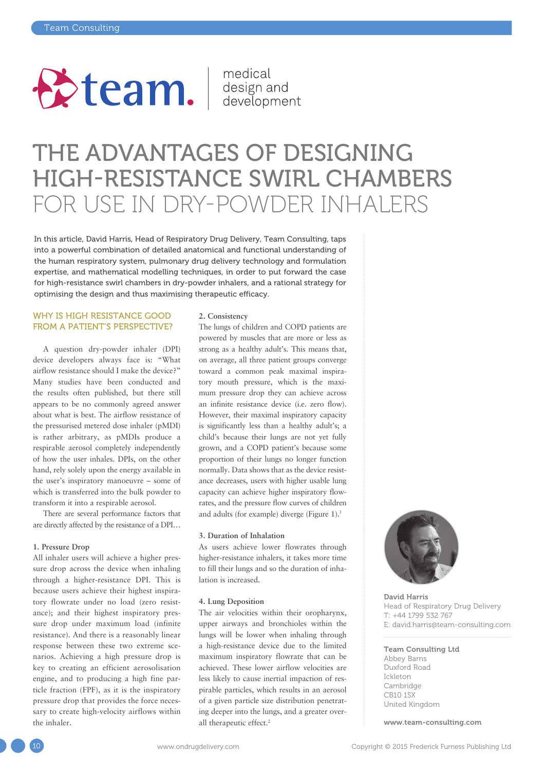

medical

## THE ADVANTAGES OF DESIGNING HIGH-RESISTANCE SWIRL CHAMBERS FOR USE IN DRY-POWDER INHALERS

In this article, David Harris, Head of Respiratory Drug Delivery, Team Consulting, taps into a powerful combination of detailed anatomical and functional understanding of the human respiratory system, pulmonary drug delivery technology and formulation expertise, and mathematical modelling techniques, in order to put forward the case for high-resistance swirl chambers in dry-powder inhalers, and a rational strategy for optimising the design and thus maximising therapeutic efficacy.

## WHY IS HIGH RESISTANCE GOOD FROM A PATIENT'S PERSPECTIVE?

A question dry-powder inhaler (DPI) device developers always face is: "What airflow resistance should I make the device?" Many studies have been conducted and the results often published, but there still appears to be no commonly agreed answer about what is best. The airflow resistance of the pressurised metered dose inhaler (pMDI) is rather arbitrary, as pMDIs produce a respirable aerosol completely independently of how the user inhales. DPIs, on the other hand, rely solely upon the energy available in the user's inspiratory manoeuvre – some of which is transferred into the bulk powder to transform it into a respirable aerosol.

There are several performance factors that are directly affected by the resistance of a DPI…

#### **1. Pressure Drop**

All inhaler users will achieve a higher pressure drop across the device when inhaling through a higher-resistance DPI. This is because users achieve their highest inspiratory flowrate under no load (zero resistance); and their highest inspiratory pressure drop under maximum load (infinite resistance). And there is a reasonably linear response between these two extreme scenarios. Achieving a high pressure drop is key to creating an efficient aerosolisation engine, and to producing a high fine particle fraction (FPF), as it is the inspiratory pressure drop that provides the force necessary to create high-velocity airflows within the inhaler.

#### **2. Consistency**

The lungs of children and COPD patients are powered by muscles that are more or less as strong as a healthy adult's. This means that, on average, all three patient groups converge toward a common peak maximal inspiratory mouth pressure, which is the maximum pressure drop they can achieve across an infinite resistance device (i.e. zero flow). However, their maximal inspiratory capacity is significantly less than a healthy adult's; a child's because their lungs are not yet fully grown, and a COPD patient's because some proportion of their lungs no longer function normally. Data shows that as the device resistance decreases, users with higher usable lung capacity can achieve higher inspiratory flowrates, and the pressure flow curves of children and adults (for example) diverge (Figure 1).<sup>1</sup>

#### **3. Duration of Inhalation**

As users achieve lower flowrates through higher-resistance inhalers, it takes more time to fill their lungs and so the duration of inhalation is increased.

#### **4. Lung Deposition**

The air velocities within their oropharynx, upper airways and bronchioles within the lungs will be lower when inhaling through a high-resistance device due to the limited maximum inspiratory flowrate that can be achieved. These lower airflow velocities are less likely to cause inertial impaction of respirable particles, which results in an aerosol of a given particle size distribution penetrating deeper into the lungs, and a greater overall therapeutic effect.<sup>2</sup>



David Harris Head of Respiratory Drug Delivery T: +44 1799 532 767 E: david.harris@team-consulting.com

#### Team Consulting Ltd

Abbey Barns Duxford Road Ickleton Cambridge CB10 1SX United Kingdom

www.team-consulting.com

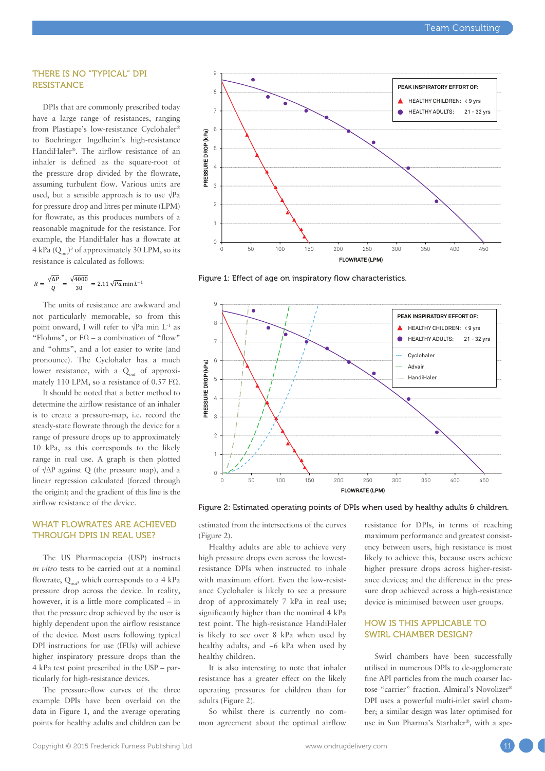### THERE IS NO "TYPICAL" DPI **RESISTANCE**

DPIs that are commonly prescribed today have a large range of resistances, ranging from Plastiape's low-resistance Cyclohaler® to Boehringer Ingelheim's high-resistance HandiHaler®. The airflow resistance of an inhaler is defined as the square-root of the pressure drop divided by the flowrate, assuming turbulent flow. Various units are used, but a sensible approach is to use  $\sqrt{Pa}$ for pressure drop and litres per minute (LPM) for flowrate, as this produces numbers of a reasonable magnitude for the resistance. For example, the HandiHaler has a flowrate at 4 kPa  $(Q_{\text{out}})^3$  of approximately 30 LPM, so its resistance is calculated as follows:

$$
R = \frac{\sqrt{\Delta P}}{Q} = \frac{\sqrt{4000}}{30} = 2.11 \sqrt{Pa} \min L^{-1}
$$

The units of resistance are awkward and not particularly memorable, so from this point onward, I will refer to  $\sqrt{Pa}$  min L<sup>-1</sup> as "Flohms", or  $FQ - a$  combination of "flow" and "ohms", and a lot easier to write (and pronounce). The Cyclohaler has a much lower resistance, with a  $Q<sub>out</sub>$  of approximately 110 LPM, so a resistance of 0.57 FΩ.

It should be noted that a better method to determine the airflow resistance of an inhaler is to create a pressure-map, i.e. record the steady-state flowrate through the device for a range of pressure drops up to approximately 10 kPa, as this corresponds to the likely range in real use. A graph is then plotted of √ΔP against Q (the pressure map), and a linear regression calculated (forced through the origin); and the gradient of this line is the airflow resistance of the device.

### WHAT FLOWRATES ARE ACHIEVED THROUGH DPIS IN REAL USE?

The US Pharmacopeia (USP) instructs *in vitro* tests to be carried out at a nominal flowrate,  $Q_{\text{out}}$ , which corresponds to a 4 kPa pressure drop across the device. In reality, however, it is a little more complicated – in that the pressure drop achieved by the user is highly dependent upon the airflow resistance of the device. Most users following typical DPI instructions for use (IFUs) will achieve higher inspiratory pressure drops than the 4 kPa test point prescribed in the USP – particularly for high-resistance devices.

The pressure-flow curves of the three example DPIs have been overlaid on the data in Figure 1, and the average operating points for healthy adults and children can be



Figure 1: Effect of age on inspiratory flow characteristics.



Figure 2: Estimated operating points of DPIs when used by healthy adults & children.

estimated from the intersections of the curves (Figure 2).

Healthy adults are able to achieve very high pressure drops even across the lowestresistance DPIs when instructed to inhale with maximum effort. Even the low-resistance Cyclohaler is likely to see a pressure drop of approximately 7 kPa in real use; significantly higher than the nominal 4 kPa test point. The high-resistance HandiHaler is likely to see over 8 kPa when used by healthy adults, and ~6 kPa when used by healthy children.

It is also interesting to note that inhaler resistance has a greater effect on the likely operating pressures for children than for adults (Figure 2).

So whilst there is currently no common agreement about the optimal airflow resistance for DPIs, in terms of reaching maximum performance and greatest consistency between users, high resistance is most likely to achieve this, because users achieve higher pressure drops across higher-resistance devices; and the difference in the pressure drop achieved across a high-resistance device is minimised between user groups.

## HOW IS THIS APPLICABLE TO SWIRL CHAMBER DESIGN?

Swirl chambers have been successfully utilised in numerous DPIs to de-agglomerate fine API particles from the much coarser lactose "carrier" fraction. Almiral's Novolizer® DPI uses a powerful multi-inlet swirl chamber; a similar design was later optimised for use in Sun Pharma's Starhaler®, with a spe-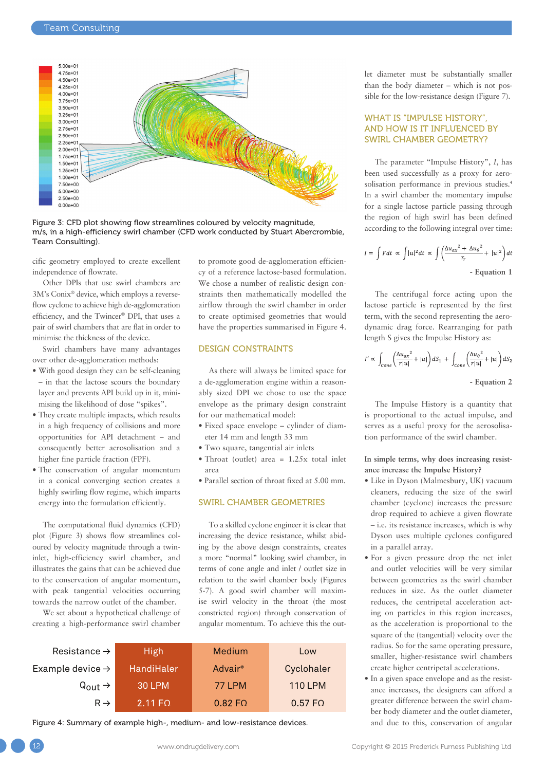

Figure 3: CFD plot showing flow streamlines coloured by velocity magnitude, m/s, in a high-efficiency swirl chamber (CFD work conducted by Stuart Abercrombie, Team Consulting).

cific geometry employed to create excellent independence of flowrate.

Other DPIs that use swirl chambers are 3M's Conix® device, which employs a reverseflow cyclone to achieve high de-agglomeration efficiency, and the Twincer® DPI, that uses a pair of swirl chambers that are flat in order to minimise the thickness of the device.

Swirl chambers have many advantages over other de-agglomeration methods:

- With good design they can be self-cleaning – in that the lactose scours the boundary layer and prevents API build up in it, minimising the likelihood of dose "spikes".
- They create multiple impacts, which results in a high frequency of collisions and more opportunities for API detachment – and consequently better aerosolisation and a higher fine particle fraction (FPF).
- The conservation of angular momentum in a conical converging section creates a highly swirling flow regime, which imparts energy into the formulation efficiently.

The computational fluid dynamics (CFD) plot (Figure 3) shows flow streamlines coloured by velocity magnitude through a twininlet, high-efficiency swirl chamber, and illustrates the gains that can be achieved due to the conservation of angular momentum, with peak tangential velocities occurring towards the narrow outlet of the chamber.

We set about a hypothetical challenge of creating a high-performance swirl chamber to promote good de-agglomeration efficiency of a reference lactose-based formulation. We chose a number of realistic design constraints then mathematically modelled the airflow through the swirl chamber in order to create optimised geometries that would have the properties summarised in Figure 4.

## DESIGN CONSTRAINTS

As there will always be limited space for a de-agglomeration engine within a reasonably sized DPI we chose to use the space envelope as the primary design constraint for our mathematical model:

- Fixed space envelope cylinder of diameter 14 mm and length 33 mm
- Two square, tangential air inlets
- Throat (outlet) area  $= 1.25x$  total inlet area
- Parallel section of throat fixed at 5.00 mm.

### SWIRL CHAMBER GEOMETRIES

To a skilled cyclone engineer it is clear that increasing the device resistance, whilst abiding by the above design constraints, creates a more "normal" looking swirl chamber, in terms of cone angle and inlet / outlet size in relation to the swirl chamber body (Figures 5-7). A good swirl chamber will maximise swirl velocity in the throat (the most constricted region) through conservation of angular momentum. To achieve this the out-

| Resistance $\rightarrow$     | <b>High</b>         | Medium              | Low            |
|------------------------------|---------------------|---------------------|----------------|
| Example device $\rightarrow$ | HandiHaler          | Advair <sup>®</sup> | Cyclohaler     |
| $Q_{\text{out}} \rightarrow$ | <b>30 LPM</b>       | <b>77 LPM</b>       | <b>110 LPM</b> |
| $R \rightarrow$              | 2.11 F <sub>Ω</sub> | $0.82 F\Omega$      | $0.57 F\Omega$ |

Figure 4: Summary of example high-, medium- and low-resistance devices.

let diameter must be substantially smaller than the body diameter – which is not possible for the low-resistance design (Figure 7).

## WHAT IS "IMPULSE HISTORY", AND HOW IS IT INFLUENCED BY SWIRL CHAMBER GEOMETRY?

The parameter "Impulse History", *I*, has been used successfully as a proxy for aerosolisation performance in previous studies.4 In a swirl chamber the momentary impulse for a single lactose particle passing through the region of high swirl has been defined according to the following integral over time:

$$
I = \int Fdt \propto \int |u|^2 dt \propto \int \left(\frac{\Delta u_{ax}^2 + \Delta u_{\theta}^2}{r_r} + |u|^2\right) dt
$$
  
- Equation 1

The centrifugal force acting upon the lactose particle is represented by the first term, with the second representing the aerodynamic drag force. Rearranging for path length S gives the Impulse History as:

$$
I' \propto \int_{Cone} \left(\frac{\Delta u_{ax}^2}{r|u|} + |u|\right) dS_1 + \int_{Cone} \left(\frac{\Delta u_{\theta}^2}{r|u|} + |u|\right) dS_2
$$
  
- Equation 2

The Impulse History is a quantity that is proportional to the actual impulse, and serves as a useful proxy for the aerosolisation performance of the swirl chamber.

**In simple terms, why does increasing resistance increase the Impulse History?**

- Like in Dyson (Malmesbury, UK) vacuum cleaners, reducing the size of the swirl chamber (cyclone) increases the pressure drop required to achieve a given flowrate – i.e. its resistance increases, which is why Dyson uses multiple cyclones configured in a parallel array.
- For a given pressure drop the net inlet and outlet velocities will be very similar between geometries as the swirl chamber reduces in size. As the outlet diameter reduces, the centripetal acceleration acting on particles in this region increases, as the acceleration is proportional to the square of the (tangential) velocity over the radius. So for the same operating pressure, smaller, higher-resistance swirl chambers create higher centripetal accelerations.
- In a given space envelope and as the resistance increases, the designers can afford a greater difference between the swirl chamber body diameter and the outlet diameter, and due to this, conservation of angular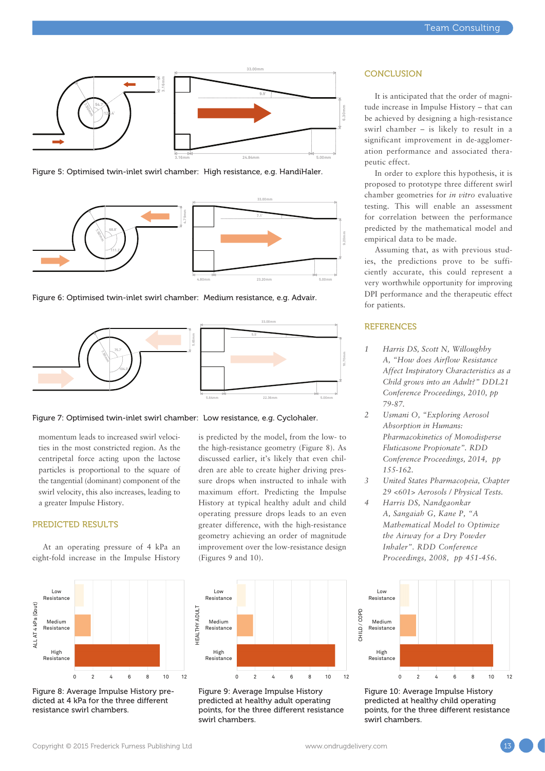

Figure 5: Optimised twin-inlet swirl chamber: High resistance, e.g. HandiHaler.



Figure 6: Optimised twin-inlet swirl chamber: Medium resistance, e.g. Advair.





momentum leads to increased swirl velocities in the most constricted region. As the centripetal force acting upon the lactose particles is proportional to the square of the tangential (dominant) component of the swirl velocity, this also increases, leading to a greater Impulse History.

#### PREDICTED RESULTS

At an operating pressure of 4 kPa an eight-fold increase in the Impulse History



Figure 8: Average Impulse History predicted at 4 kPa for the three different resistance swirl chambers.

is predicted by the model, from the low- to the high-resistance geometry (Figure 8). As discussed earlier, it's likely that even children are able to create higher driving pressure drops when instructed to inhale with maximum effort. Predicting the Impulse History at typical healthy adult and child operating pressure drops leads to an even greater difference, with the high-resistance geometry achieving an order of magnitude improvement over the low-resistance design (Figures 9 and 10).



Figure 9: Average Impulse History predicted at healthy adult operating points, for the three different resistance swirl chambers.

#### **CONCLUSION**

It is anticipated that the order of magnitude increase in Impulse History – that can be achieved by designing a high-resistance swirl chamber – is likely to result in a significant improvement in de-agglomeration performance and associated therapeutic effect.

In order to explore this hypothesis, it is proposed to prototype three different swirl chamber geometries for *in vitro* evaluative testing. This will enable an assessment for correlation between the performance predicted by the mathematical model and empirical data to be made.

Assuming that, as with previous studies, the predictions prove to be sufficiently accurate, this could represent a very worthwhile opportunity for improving DPI performance and the therapeutic effect for patients.

## **REFERENCES**

- *1 Harris DS, Scott N, Willoughby A, "How does Airflow Resistance Affect Inspiratory Characteristics as a Child grows into an Adult?" DDL21 Conference Proceedings, 2010, pp 79-87.*
- *2 Usmani O, "Exploring Aerosol Absorption in Humans: Pharmacokinetics of Monodisperse Fluticasone Propionate". RDD Conference Proceedings, 2014, pp 155-162.*
- *3 United States Pharmacopeia, Chapter 29 <601> Aerosols / Physical Tests.*
- *4 Harris DS, Nandgaonkar A, Sangaiah G, Kane P, "A Mathematical Model to Optimize the Airway for a Dry Powder Inhaler". RDD Conference Proceedings, 2008, pp 451-456.*



Figure 10: Average Impulse History predicted at healthy child operating points, for the three different resistance swirl chambers.